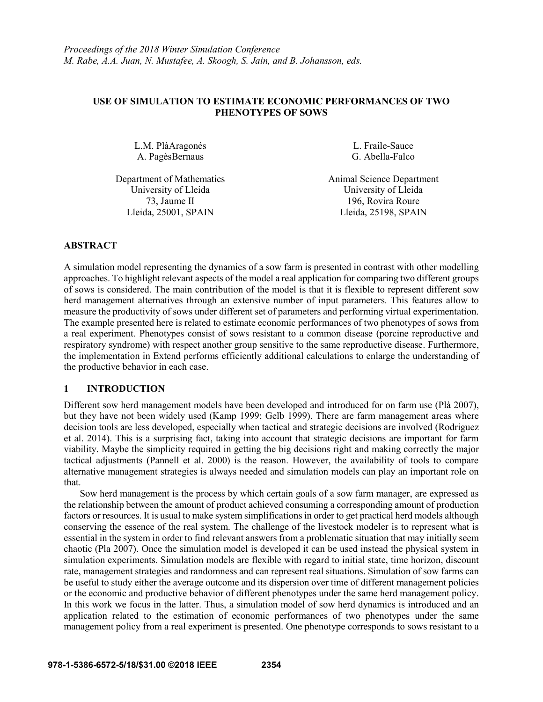# **USE OF SIMULATION TO ESTIMATE ECONOMIC PERFORMANCES OF TWO PHENOTYPES OF SOWS**

L.M. PlàAragonés A. PagèsBernaus

L. Fraile-Sauce G. Abella-Falco

University of Lleida University of Lleida Lleida, 25001, SPAIN Lleida, 25198, SPAIN

Department of Mathematics Animal Science Department 73, Jaume II 196, Rovira Roure

## **ABSTRACT**

A simulation model representing the dynamics of a sow farm is presented in contrast with other modelling approaches. To highlight relevant aspects of the model a real application for comparing two different groups of sows is considered. The main contribution of the model is that it is flexible to represent different sow herd management alternatives through an extensive number of input parameters. This features allow to measure the productivity of sows under different set of parameters and performing virtual experimentation. The example presented here is related to estimate economic performances of two phenotypes of sows from a real experiment. Phenotypes consist of sows resistant to a common disease (porcine reproductive and respiratory syndrome) with respect another group sensitive to the same reproductive disease. Furthermore, the implementation in Extend performs efficiently additional calculations to enlarge the understanding of the productive behavior in each case.

## **1 INTRODUCTION**

Different sow herd management models have been developed and introduced for on farm use (Plà 2007), but they have not been widely used (Kamp 1999; Gelb 1999). There are farm management areas where decision tools are less developed, especially when tactical and strategic decisions are involved (Rodriguez et al. 2014). This is a surprising fact, taking into account that strategic decisions are important for farm viability. Maybe the simplicity required in getting the big decisions right and making correctly the major tactical adjustments (Pannell et al. 2000) is the reason. However, the availability of tools to compare alternative management strategies is always needed and simulation models can play an important role on that.

Sow herd management is the process by which certain goals of a sow farm manager, are expressed as the relationship between the amount of product achieved consuming a corresponding amount of production factors or resources. It is usual to make system simplifications in order to get practical herd models although conserving the essence of the real system. The challenge of the livestock modeler is to represent what is essential in the system in order to find relevant answers from a problematic situation that may initially seem chaotic (Pla 2007). Once the simulation model is developed it can be used instead the physical system in simulation experiments. Simulation models are flexible with regard to initial state, time horizon, discount rate, management strategies and randomness and can represent real situations. Simulation of sow farms can be useful to study either the average outcome and its dispersion over time of different management policies or the economic and productive behavior of different phenotypes under the same herd management policy. In this work we focus in the latter. Thus, a simulation model of sow herd dynamics is introduced and an application related to the estimation of economic performances of two phenotypes under the same management policy from a real experiment is presented. One phenotype corresponds to sows resistant to a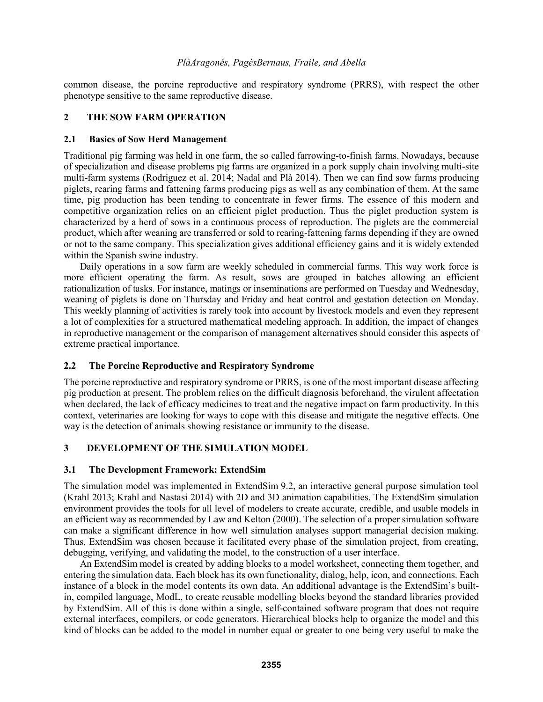common disease, the porcine reproductive and respiratory syndrome (PRRS), with respect the other phenotype sensitive to the same reproductive disease.

# **2 THE SOW FARM OPERATION**

## **2.1 Basics of Sow Herd Management**

Traditional pig farming was held in one farm, the so called farrowing-to-finish farms. Nowadays, because of specialization and disease problems pig farms are organized in a pork supply chain involving multi-site multi-farm systems (Rodriguez et al. 2014; Nadal and Plà 2014). Then we can find sow farms producing piglets, rearing farms and fattening farms producing pigs as well as any combination of them. At the same time, pig production has been tending to concentrate in fewer firms. The essence of this modern and competitive organization relies on an efficient piglet production. Thus the piglet production system is characterized by a herd of sows in a continuous process of reproduction. The piglets are the commercial product, which after weaning are transferred or sold to rearing-fattening farms depending if they are owned or not to the same company. This specialization gives additional efficiency gains and it is widely extended within the Spanish swine industry.

Daily operations in a sow farm are weekly scheduled in commercial farms. This way work force is more efficient operating the farm. As result, sows are grouped in batches allowing an efficient rationalization of tasks. For instance, matings or inseminations are performed on Tuesday and Wednesday, weaning of piglets is done on Thursday and Friday and heat control and gestation detection on Monday. This weekly planning of activities is rarely took into account by livestock models and even they represent a lot of complexities for a structured mathematical modeling approach. In addition, the impact of changes in reproductive management or the comparison of management alternatives should consider this aspects of extreme practical importance.

## **2.2 The Porcine Reproductive and Respiratory Syndrome**

The porcine reproductive and respiratory syndrome or PRRS, is one of the most important disease affecting pig production at present. The problem relies on the difficult diagnosis beforehand, the virulent affectation when declared, the lack of efficacy medicines to treat and the negative impact on farm productivity. In this context, veterinaries are looking for ways to cope with this disease and mitigate the negative effects. One way is the detection of animals showing resistance or immunity to the disease.

## **3 DEVELOPMENT OF THE SIMULATION MODEL**

## **3.1 The Development Framework: ExtendSim**

The simulation model was implemented in ExtendSim 9.2, an interactive general purpose simulation tool (Krahl 2013; Krahl and Nastasi 2014) with 2D and 3D animation capabilities. The ExtendSim simulation environment provides the tools for all level of modelers to create accurate, credible, and usable models in an efficient way as recommended by Law and Kelton (2000). The selection of a proper simulation software can make a significant difference in how well simulation analyses support managerial decision making. Thus, ExtendSim was chosen because it facilitated every phase of the simulation project, from creating, debugging, verifying, and validating the model, to the construction of a user interface.

An ExtendSim model is created by adding blocks to a model worksheet, connecting them together, and entering the simulation data. Each block has its own functionality, dialog, help, icon, and connections. Each instance of a block in the model contents its own data. An additional advantage is the ExtendSim's builtin, compiled language, ModL, to create reusable modelling blocks beyond the standard libraries provided by ExtendSim. All of this is done within a single, self-contained software program that does not require external interfaces, compilers, or code generators. Hierarchical blocks help to organize the model and this kind of blocks can be added to the model in number equal or greater to one being very useful to make the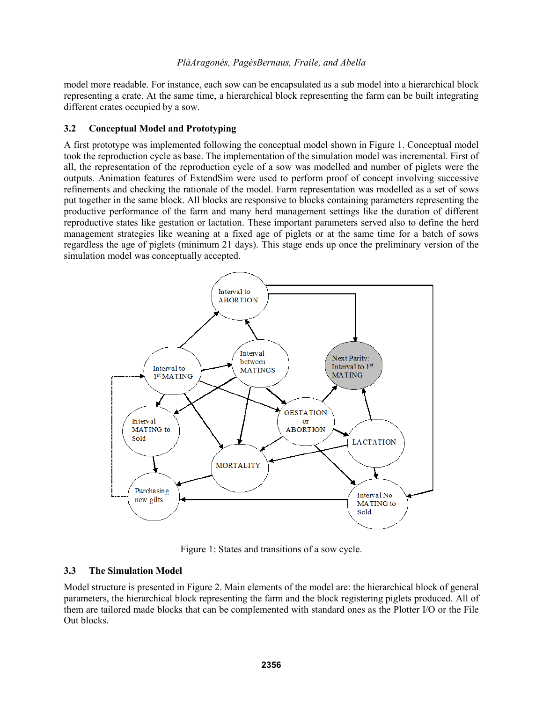model more readable. For instance, each sow can be encapsulated as a sub model into a hierarchical block representing a crate. At the same time, a hierarchical block representing the farm can be built integrating different crates occupied by a sow.

# **3.2 Conceptual Model and Prototyping**

A first prototype was implemented following the conceptual model shown in Figure 1. Conceptual model took the reproduction cycle as base. The implementation of the simulation model was incremental. First of all, the representation of the reproduction cycle of a sow was modelled and number of piglets were the outputs. Animation features of ExtendSim were used to perform proof of concept involving successive refinements and checking the rationale of the model. Farm representation was modelled as a set of sows put together in the same block. All blocks are responsive to blocks containing parameters representing the productive performance of the farm and many herd management settings like the duration of different reproductive states like gestation or lactation. These important parameters served also to define the herd management strategies like weaning at a fixed age of piglets or at the same time for a batch of sows regardless the age of piglets (minimum 21 days). This stage ends up once the preliminary version of the simulation model was conceptually accepted.



Figure 1: States and transitions of a sow cycle.

# **3.3 The Simulation Model**

Model structure is presented in Figure 2. Main elements of the model are: the hierarchical block of general parameters, the hierarchical block representing the farm and the block registering piglets produced. All of them are tailored made blocks that can be complemented with standard ones as the Plotter I/O or the File Out blocks.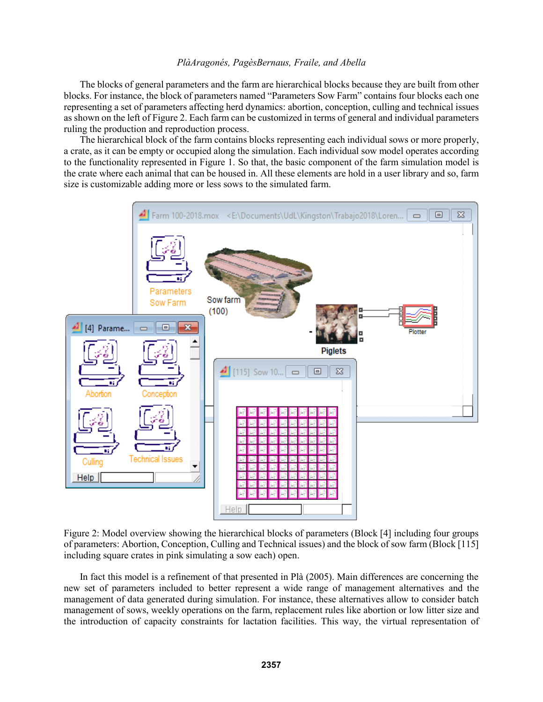The blocks of general parameters and the farm are hierarchical blocks because they are built from other blocks. For instance, the block of parameters named "Parameters Sow Farm" contains four blocks each one representing a set of parameters affecting herd dynamics: abortion, conception, culling and technical issues as shown on the left of Figure 2. Each farm can be customized in terms of general and individual parameters ruling the production and reproduction process.

The hierarchical block of the farm contains blocks representing each individual sows or more properly, a crate, as it can be empty or occupied along the simulation. Each individual sow model operates according to the functionality represented in Figure 1. So that, the basic component of the farm simulation model is the crate where each animal that can be housed in. All these elements are hold in a user library and so, farm size is customizable adding more or less sows to the simulated farm.



Figure 2: Model overview showing the hierarchical blocks of parameters (Block [4] including four groups of parameters: Abortion, Conception, Culling and Technical issues) and the block of sow farm (Block [115] including square crates in pink simulating a sow each) open.

In fact this model is a refinement of that presented in Plà (2005). Main differences are concerning the new set of parameters included to better represent a wide range of management alternatives and the management of data generated during simulation. For instance, these alternatives allow to consider batch management of sows, weekly operations on the farm, replacement rules like abortion or low litter size and the introduction of capacity constraints for lactation facilities. This way, the virtual representation of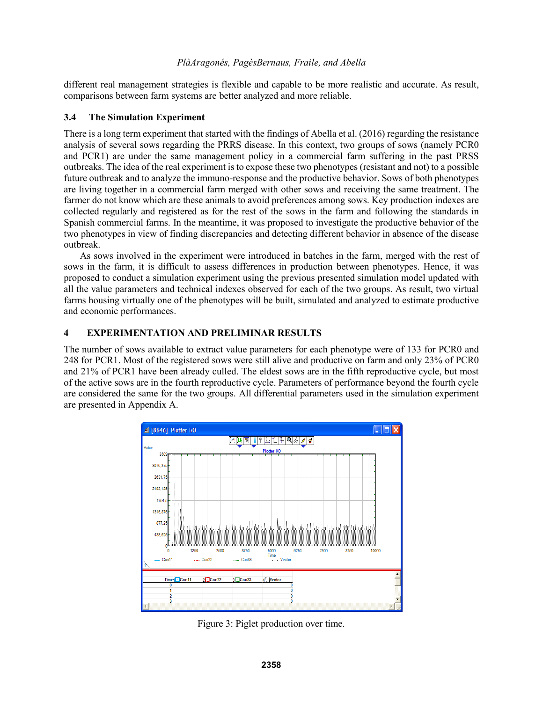different real management strategies is flexible and capable to be more realistic and accurate. As result, comparisons between farm systems are better analyzed and more reliable.

# **3.4 The Simulation Experiment**

There is a long term experiment that started with the findings of Abella et al. (2016) regarding the resistance analysis of several sows regarding the PRRS disease. In this context, two groups of sows (namely PCR0 and PCR1) are under the same management policy in a commercial farm suffering in the past PRSS outbreaks. The idea of the real experiment is to expose these two phenotypes (resistant and not) to a possible future outbreak and to analyze the immuno-response and the productive behavior. Sows of both phenotypes are living together in a commercial farm merged with other sows and receiving the same treatment. The farmer do not know which are these animals to avoid preferences among sows. Key production indexes are collected regularly and registered as for the rest of the sows in the farm and following the standards in Spanish commercial farms. In the meantime, it was proposed to investigate the productive behavior of the two phenotypes in view of finding discrepancies and detecting different behavior in absence of the disease outbreak.

As sows involved in the experiment were introduced in batches in the farm, merged with the rest of sows in the farm, it is difficult to assess differences in production between phenotypes. Hence, it was proposed to conduct a simulation experiment using the previous presented simulation model updated with all the value parameters and technical indexes observed for each of the two groups. As result, two virtual farms housing virtually one of the phenotypes will be built, simulated and analyzed to estimate productive and economic performances.

# **4 EXPERIMENTATION AND PRELIMINAR RESULTS**

The number of sows available to extract value parameters for each phenotype were of 133 for PCR0 and 248 for PCR1. Most of the registered sows were still alive and productive on farm and only 23% of PCR0 and 21% of PCR1 have been already culled. The eldest sows are in the fifth reproductive cycle, but most of the active sows are in the fourth reproductive cycle. Parameters of performance beyond the fourth cycle are considered the same for the two groups. All differential parameters used in the simulation experiment are presented in Appendix A.



Figure 3: Piglet production over time.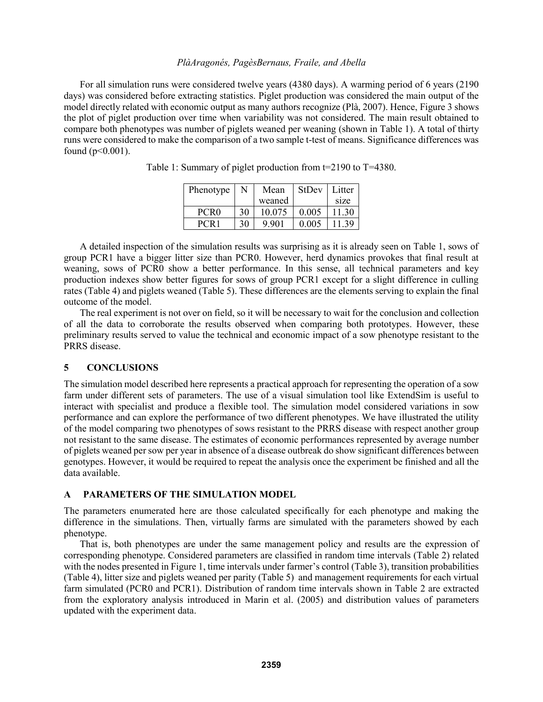For all simulation runs were considered twelve years (4380 days). A warming period of 6 years (2190 days) was considered before extracting statistics. Piglet production was considered the main output of the model directly related with economic output as many authors recognize (Plà, 2007). Hence, Figure 3 shows the plot of piglet production over time when variability was not considered. The main result obtained to compare both phenotypes was number of piglets weaned per weaning (shown in Table 1). A total of thirty runs were considered to make the comparison of a two sample t-test of means. Significance differences was found  $(p<0.001)$ .

| Phenotype        | N  | Mean    | <b>StDev</b> | Litter |
|------------------|----|---------|--------------|--------|
|                  |    | weaned  |              | size   |
| PCR <sub>0</sub> | 30 | 10 0 75 | 0.005        | 11 30  |
| PCR 1            | 30 | 9.901   | 0.005        | 30     |

Table 1: Summary of piglet production from t=2190 to T=4380.

A detailed inspection of the simulation results was surprising as it is already seen on Table 1, sows of group PCR1 have a bigger litter size than PCR0. However, herd dynamics provokes that final result at weaning, sows of PCR0 show a better performance. In this sense, all technical parameters and key production indexes show better figures for sows of group PCR1 except for a slight difference in culling rates (Table 4) and piglets weaned (Table 5). These differences are the elements serving to explain the final outcome of the model.

The real experiment is not over on field, so it will be necessary to wait for the conclusion and collection of all the data to corroborate the results observed when comparing both prototypes. However, these preliminary results served to value the technical and economic impact of a sow phenotype resistant to the PRRS disease.

## **5 CONCLUSIONS**

The simulation model described here represents a practical approach for representing the operation of a sow farm under different sets of parameters. The use of a visual simulation tool like ExtendSim is useful to interact with specialist and produce a flexible tool. The simulation model considered variations in sow performance and can explore the performance of two different phenotypes. We have illustrated the utility of the model comparing two phenotypes of sows resistant to the PRRS disease with respect another group not resistant to the same disease. The estimates of economic performances represented by average number of piglets weaned per sow per year in absence of a disease outbreak do show significant differences between genotypes. However, it would be required to repeat the analysis once the experiment be finished and all the data available.

## **A PARAMETERS OF THE SIMULATION MODEL**

The parameters enumerated here are those calculated specifically for each phenotype and making the difference in the simulations. Then, virtually farms are simulated with the parameters showed by each phenotype.

That is, both phenotypes are under the same management policy and results are the expression of corresponding phenotype. Considered parameters are classified in random time intervals (Table 2) related with the nodes presented in Figure 1, time intervals under farmer's control (Table 3), transition probabilities (Table 4), litter size and piglets weaned per parity (Table 5) and management requirements for each virtual farm simulated (PCR0 and PCR1). Distribution of random time intervals shown in Table 2 are extracted from the exploratory analysis introduced in Marin et al. (2005) and distribution values of parameters updated with the experiment data.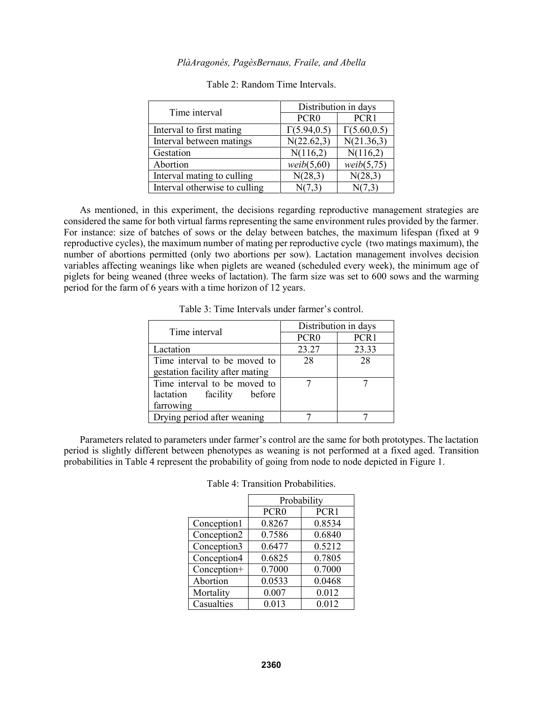| Time interval                 | Distribution in days |                     |  |
|-------------------------------|----------------------|---------------------|--|
|                               | PCR <sub>0</sub>     | PCR1                |  |
| Interval to first mating      | $\Gamma(5.94, 0.5)$  | $\Gamma(5.60, 0.5)$ |  |
| Interval between matings      | N(22.62,3)           | N(21.36,3)          |  |
| Gestation                     | N(116,2)             | N(116,2)            |  |
| Abortion                      | weib(5,60)           | weib(5,75)          |  |
| Interval mating to culling    | N(28,3)              | N(28,3)             |  |
| Interval otherwise to culling | N(7,3)               |                     |  |

#### Table 2: Random Time Intervals.

As mentioned, in this experiment, the decisions regarding reproductive management strategies are considered the same for both virtual farms representing the same environment rules provided by the farmer. For instance: size of batches of sows or the delay between batches, the maximum lifespan (fixed at 9 reproductive cycles), the maximum number of mating per reproductive cycle (two matings maximum), the number of abortions permitted (only two abortions per sow). Lactation management involves decision variables affecting weanings like when piglets are weaned (scheduled every week), the minimum age of piglets for being weaned (three weeks of lactation). The farm size was set to 600 sows and the warming period for the farm of 6 years with a time horizon of 12 years.

| Time interval                   | Distribution in days                 |       |  |
|---------------------------------|--------------------------------------|-------|--|
|                                 | PCR <sub>0</sub><br>PCR <sub>1</sub> |       |  |
| Lactation                       | 23.27                                | 23.33 |  |
| Time interval to be moved to    | 28                                   | 28    |  |
| gestation facility after mating |                                      |       |  |
| Time interval to be moved to    |                                      |       |  |
| lactation facility before       |                                      |       |  |
| farrowing                       |                                      |       |  |
| Drying period after weaning     |                                      |       |  |

Table 3: Time Intervals under farmer's control.

Parameters related to parameters under farmer's control are the same for both prototypes. The lactation period is slightly different between phenotypes as weaning is not performed at a fixed aged. Transition probabilities in Table 4 represent the probability of going from node to node depicted in Figure 1.

| Table 4: Transition Probabilities. |
|------------------------------------|
|------------------------------------|

|             | Probability      |        |
|-------------|------------------|--------|
|             | PCR <sub>0</sub> | PCR1   |
| Conception1 | 0.8267           | 0.8534 |
| Conception2 | 0.7586           | 0.6840 |
| Conception3 | 0.6477           | 0.5212 |
| Conception4 | 0.6825           | 0.7805 |
| Conception+ | 0.7000           | 0.7000 |
| Abortion    | 0.0533           | 0.0468 |
| Mortality   | 0.007            | 0.012  |
| Casualties  | 0.013            | 0.012  |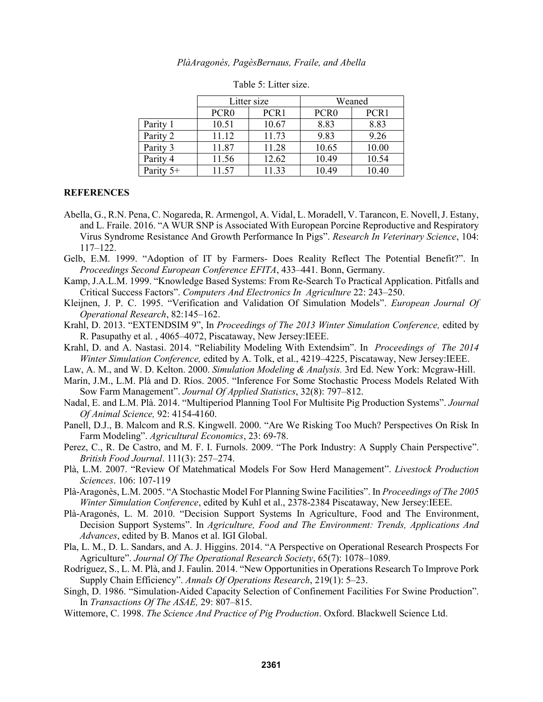|           | Litter size      |       | Weaned           |       |
|-----------|------------------|-------|------------------|-------|
|           | PCR <sub>0</sub> | PCR1  | PCR <sub>0</sub> | PCR1  |
| Parity 1  | 10.51            | 10.67 | 8.83             | 8.83  |
| Parity 2  | 11.12            | 11.73 | 9.83             | 9.26  |
| Parity 3  | 11.87            | 11.28 | 10.65            | 10.00 |
| Parity 4  | 11.56            | 12.62 | 10.49            | 10.54 |
| Parity 5+ | 11.57            | 11.33 | 10.49            | 10.40 |

Table 5: Litter size.

## **REFERENCES**

- Abella, G., R.N. Pena, C. Nogareda, R. Armengol, A. Vidal, L. Moradell, V. Tarancon, E. Novell, J. Estany, and L. Fraile. 2016. "A WUR SNP is Associated With European Porcine Reproductive and Respiratory Virus Syndrome Resistance And Growth Performance In Pigs". *Research In Veterinary Science*, 104: 117–122.
- Gelb, E.M. 1999. "Adoption of IT by Farmers- Does Reality Reflect The Potential Benefit?". In *Proceedings Second European Conference EFITA*, 433–441. Bonn, Germany.
- Kamp, J.A.L.M. 1999. "Knowledge Based Systems: From Re-Search To Practical Application. Pitfalls and Critical Success Factors". *Computers And Electronics In Agriculture* 22: 243–250.
- Kleijnen, J. P. C. 1995. "Verification and Validation Of Simulation Models". *European Journal Of Operational Research*, 82:145–162.
- Krahl, D. 2013. "EXTENDSIM 9", In *Proceedings of The 2013 Winter Simulation Conference,* edited by R. Pasupathy et al. , 4065–4072, Piscataway, New Jersey:IEEE.
- Krahl, D. and A. Nastasi. 2014. "Reliability Modeling With Extendsim". In *Proceedings of The 2014 Winter Simulation Conference,* edited by A. Tolk, et al., 4219–4225, Piscataway, New Jersey:IEEE.
- Law, A. M., and W. D. Kelton. 2000. *Simulation Modeling & Analysis.* 3rd Ed. New York: Mcgraw-Hill.
- Marín, J.M., L.M. Plà and D. Ríos. 2005. "Inference For Some Stochastic Process Models Related With Sow Farm Management". *Journal Of Applied Statistics*, 32(8): 797–812.
- Nadal, E. and L.M. Plà. 2014. "Multiperiod Planning Tool For Multisite Pig Production Systems". *Journal Of Animal Science,* 92: 4154-4160.
- Panell, D.J., B. Malcom and R.S. Kingwell. 2000. "Are We Risking Too Much? Perspectives On Risk In Farm Modeling". *Agricultural Economics*, 23: 69-78.
- Perez, C., R. De Castro, and M. F. I. Furnols. 2009. "The Pork Industry: A Supply Chain Perspective". *British Food Journal*. 111(3): 257–274.
- Plà, L.M. 2007. "Review Of Matehmatical Models For Sow Herd Management". *Livestock Production Sciences*. 106: 107-119
- Plà-Aragonès, L.M. 2005. "A Stochastic Model For Planning Swine Facilities". In *Proceedings of The 2005 Winter Simulation Conference*, edited by Kuhl et al., 2378-2384 Piscataway, New Jersey:IEEE.
- Plà-Aragonés, L. M. 2010. "Decision Support Systems In Agriculture, Food and The Environment, Decision Support Systems". In *Agriculture, Food and The Environment: Trends, Applications And Advances*, edited by B. Manos et al. IGI Global.
- Pla, L. M., D. L. Sandars, and A. J. Higgins. 2014. "A Perspective on Operational Research Prospects For Agriculture". *Journal Of The Operational Research Society*, 65(7): 1078–1089.
- Rodríguez, S., L. M. Plà, and J. Faulin. 2014. "New Opportunities in Operations Research To Improve Pork Supply Chain Efficiency". *Annals Of Operations Research*, 219(1): 5–23.
- Singh, D. 1986. "Simulation-Aided Capacity Selection of Confinement Facilities For Swine Production". In *Transactions Of The ASAE,* 29: 807–815.
- Wittemore, C. 1998. *The Science And Practice of Pig Production*. Oxford. Blackwell Science Ltd.